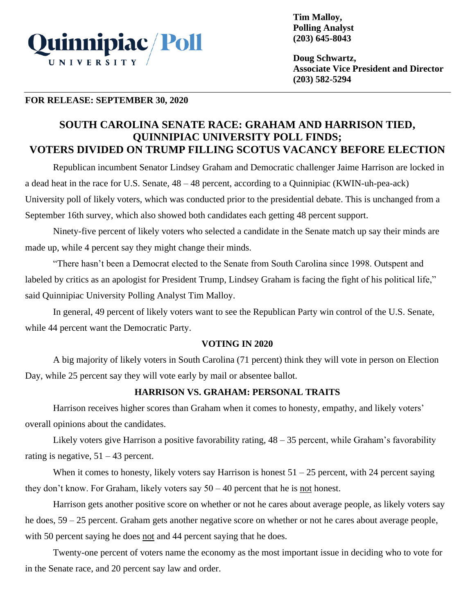

**Tim Malloy, Polling Analyst (203) 645-8043**

**Doug Schwartz, Associate Vice President and Director (203) 582-5294**

### **FOR RELEASE: SEPTEMBER 30, 2020**

# **SOUTH CAROLINA SENATE RACE: GRAHAM AND HARRISON TIED, QUINNIPIAC UNIVERSITY POLL FINDS; VOTERS DIVIDED ON TRUMP FILLING SCOTUS VACANCY BEFORE ELECTION**

Republican incumbent Senator Lindsey Graham and Democratic challenger Jaime Harrison are locked in a dead heat in the race for U.S. Senate, 48 – 48 percent, according to a Quinnipiac (KWIN-uh-pea-ack) University poll of likely voters, which was conducted prior to the presidential debate. This is unchanged from a September 16th survey, which also showed both candidates each getting 48 percent support.

Ninety-five percent of likely voters who selected a candidate in the Senate match up say their minds are made up, while 4 percent say they might change their minds.

"There hasn't been a Democrat elected to the Senate from South Carolina since 1998. Outspent and labeled by critics as an apologist for President Trump, Lindsey Graham is facing the fight of his political life," said Quinnipiac University Polling Analyst Tim Malloy.

In general, 49 percent of likely voters want to see the Republican Party win control of the U.S. Senate, while 44 percent want the Democratic Party.

# **VOTING IN 2020**

A big majority of likely voters in South Carolina (71 percent) think they will vote in person on Election Day, while 25 percent say they will vote early by mail or absentee ballot.

# **HARRISON VS. GRAHAM: PERSONAL TRAITS**

Harrison receives higher scores than Graham when it comes to honesty, empathy, and likely voters' overall opinions about the candidates.

Likely voters give Harrison a positive favorability rating, 48 – 35 percent, while Graham's favorability rating is negative,  $51 - 43$  percent.

When it comes to honesty, likely voters say Harrison is honest  $51 - 25$  percent, with 24 percent saying they don't know. For Graham, likely voters say  $50 - 40$  percent that he is not honest.

Harrison gets another positive score on whether or not he cares about average people, as likely voters say he does, 59 – 25 percent. Graham gets another negative score on whether or not he cares about average people, with 50 percent saying he does not and 44 percent saying that he does.

Twenty-one percent of voters name the economy as the most important issue in deciding who to vote for in the Senate race, and 20 percent say law and order.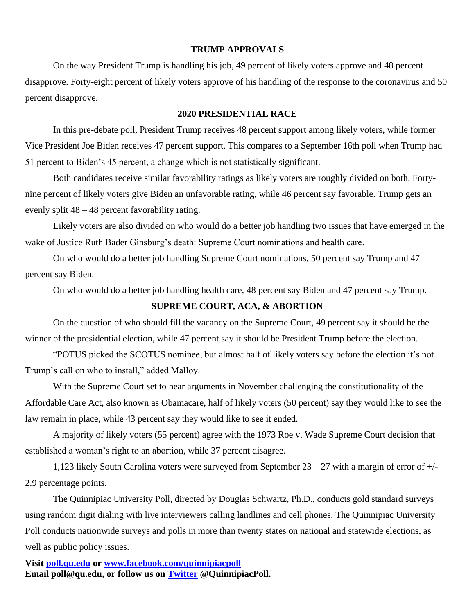#### **TRUMP APPROVALS**

On the way President Trump is handling his job, 49 percent of likely voters approve and 48 percent disapprove. Forty-eight percent of likely voters approve of his handling of the response to the coronavirus and 50 percent disapprove.

#### **2020 PRESIDENTIAL RACE**

In this pre-debate poll, President Trump receives 48 percent support among likely voters, while former Vice President Joe Biden receives 47 percent support. This compares to a September 16th poll when Trump had 51 percent to Biden's 45 percent, a change which is not statistically significant.

Both candidates receive similar favorability ratings as likely voters are roughly divided on both. Fortynine percent of likely voters give Biden an unfavorable rating, while 46 percent say favorable. Trump gets an evenly split 48 – 48 percent favorability rating.

Likely voters are also divided on who would do a better job handling two issues that have emerged in the wake of Justice Ruth Bader Ginsburg's death: Supreme Court nominations and health care.

On who would do a better job handling Supreme Court nominations, 50 percent say Trump and 47 percent say Biden.

On who would do a better job handling health care, 48 percent say Biden and 47 percent say Trump.

### **SUPREME COURT, ACA, & ABORTION**

On the question of who should fill the vacancy on the Supreme Court, 49 percent say it should be the winner of the presidential election, while 47 percent say it should be President Trump before the election.

"POTUS picked the SCOTUS nominee, but almost half of likely voters say before the election it's not Trump's call on who to install," added Malloy.

With the Supreme Court set to hear arguments in November challenging the constitutionality of the Affordable Care Act, also known as Obamacare, half of likely voters (50 percent) say they would like to see the law remain in place, while 43 percent say they would like to see it ended.

A majority of likely voters (55 percent) agree with the 1973 Roe v. Wade Supreme Court decision that established a woman's right to an abortion, while 37 percent disagree.

1,123 likely South Carolina voters were surveyed from September 23 – 27 with a margin of error of +/- 2.9 percentage points.

The Quinnipiac University Poll, directed by Douglas Schwartz, Ph.D., conducts gold standard surveys using random digit dialing with live interviewers calling landlines and cell phones. The Quinnipiac University Poll conducts nationwide surveys and polls in more than twenty states on national and statewide elections, as well as public policy issues.

**Visit [poll.qu.edu](https://poll.qu.edu/) or [www.facebook.com/quinnipiacpoll](http://www.facebook.com/quinnipiacpoll)  Email poll@qu.edu, or follow us on [Twitter](http://twitter.com/QuinnipiacPoll) @QuinnipiacPoll.**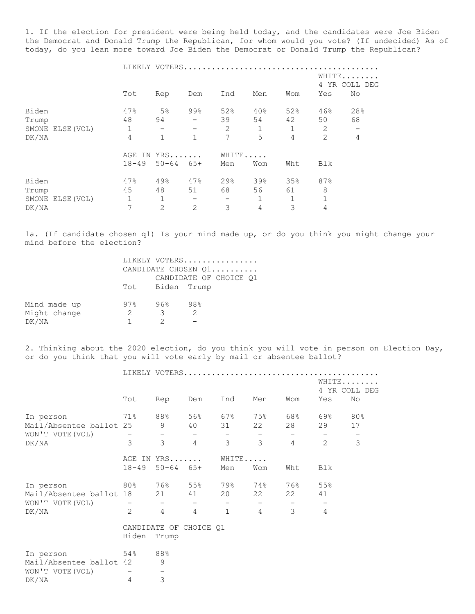1. If the election for president were being held today, and the candidates were Joe Biden the Democrat and Donald Trump the Republican, for whom would you vote? (If undecided) As of today, do you lean more toward Joe Biden the Democrat or Donald Trump the Republican?

|       |                  |           | LIKELY VOTERS.           |              |                          |              |             |                |                          |
|-------|------------------|-----------|--------------------------|--------------|--------------------------|--------------|-------------|----------------|--------------------------|
|       |                  |           |                          |              |                          |              |             |                | WHITE                    |
|       |                  |           |                          |              |                          |              |             |                | 4 YR COLL DEG            |
|       |                  | Tot       | Rep                      | Dem          | Ind                      | Men          | Wom         | Yes            | No                       |
| Biden |                  | 47%       | 5%                       | 99%          | 52%                      | 40%          | 52%         | 46%            | 28%                      |
| Trump |                  | 48        | 94                       |              | 39                       | 54           | 42          | 50             | 68                       |
|       | SMONE ELSE (VOL) | 1         | $\overline{\phantom{m}}$ |              | 2                        | 1            | $\mathbf 1$ | 2              | $\overline{\phantom{a}}$ |
| DK/NA |                  | 4         |                          | $\mathbf{1}$ | 7                        | 5            | 4           | $\overline{2}$ | $\overline{4}$           |
|       |                  | AGE<br>IN | YRS                      |              | WHITE                    |              |             |                |                          |
|       |                  | $18 - 49$ | $50 - 64$ $65 +$         |              | Men                      | Wom          | Wht         | Blk            |                          |
| Biden |                  | 47%       | 49%                      | 47%          | 29%                      | 39%          | 35%         | 87%            |                          |
| Trump |                  | 45        | 48                       | 51           | 68                       | 56           | 61          | 8              |                          |
|       | SMONE ELSE (VOL) | 1         |                          | -            | $\overline{\phantom{m}}$ | $\mathbf{1}$ | 1           |                |                          |
| DK/NA |                  | 7         | 2                        | 2            | 3                        | 4            | 3           | 4              |                          |

1a. (If candidate chosen q1) Is your mind made up, or do you think you might change your mind before the election?

|              |                | LIKELY VOTERS           |     |  |
|--------------|----------------|-------------------------|-----|--|
|              |                | CANDIDATE CHOSEN Q1     |     |  |
|              |                | CANDIDATE OF CHOICE 01  |     |  |
|              |                | Tot Biden Trump         |     |  |
| Mind made up | 97%            | 96% -                   | 98% |  |
| Might change | $\overline{2}$ | $\overline{\mathbf{3}}$ | 2   |  |
| DK/NA        |                |                         |     |  |

2. Thinking about the 2020 election, do you think you will vote in person on Election Day, or do you think that you will vote early by mail or absentee ballot?

|                         |                                                    |                          |                          |                              |                          | WHITE                    | 4 YR COLL DEG            |
|-------------------------|----------------------------------------------------|--------------------------|--------------------------|------------------------------|--------------------------|--------------------------|--------------------------|
| Tot                     | Rep                                                | Dem                      | Ind                      | Men                          | Wom                      | Yes                      | No                       |
| 71%                     | 88%                                                | 56%                      |                          | 75%                          | 68%                      | 69%                      | 80%                      |
|                         |                                                    |                          |                          |                              |                          |                          | 17                       |
|                         | $\overline{\phantom{a}}$                           | $\overline{\phantom{m}}$ | $\overline{\phantom{a}}$ | $\overline{\phantom{m}}$     | $\overline{\phantom{m}}$ | $\overline{\phantom{m}}$ | $\overline{\phantom{m}}$ |
| 3                       | 3                                                  | $\overline{4}$           | 3                        | 3                            | $\overline{4}$           | $\overline{2}$           | $\mathfrak{Z}$           |
|                         |                                                    |                          |                          |                              |                          |                          |                          |
| $18 - 49$               | $50 - 64$                                          | $65+$                    | Men                      | Wom                          | Wht                      | Blk                      |                          |
| $80\%$                  | 76%                                                | 55%                      | 79%                      | 74%                          | 76%                      | 55%                      |                          |
|                         | 21                                                 | 41                       | 20                       | 22                           | 22                       | 41                       |                          |
| -                       |                                                    | $\qquad \qquad -$        | $\overline{\phantom{a}}$ | $\qquad \qquad -$            | $\overline{\phantom{m}}$ | $\overline{\phantom{m}}$ |                          |
| $\overline{2}$          | $\overline{4}$                                     | 4                        | $\mathbf{1}$             | $\overline{4}$               | 3                        | 4                        |                          |
|                         |                                                    |                          |                          |                              |                          |                          |                          |
| Biden                   | Trump                                              |                          |                          |                              |                          |                          |                          |
| 54%                     | 88%                                                |                          |                          |                              |                          |                          |                          |
|                         |                                                    |                          |                          |                              |                          |                          |                          |
| Mail/Absentee ballot 42 | 9                                                  |                          |                          |                              |                          |                          |                          |
|                         | $\overline{\phantom{m}}$                           |                          |                          |                              |                          |                          |                          |
|                         | Mail/Absentee ballot 25<br>Mail/Absentee ballot 18 | 9                        | 40<br>AGE IN YRS         | 31<br>CANDIDATE OF CHOICE Q1 | 67%<br>22<br>WHITE       | LIKELY VOTERS<br>28      | 29                       |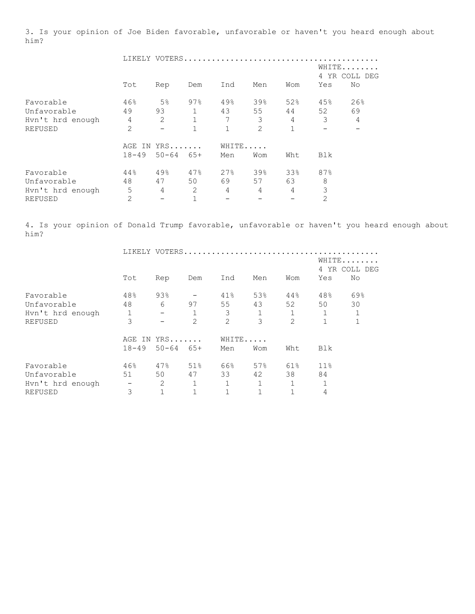3. Is your opinion of Joe Biden favorable, unfavorable or haven't you heard enough about him?

|                  |                |                   |              | LIKELY VOTERS |                |                |     |               |
|------------------|----------------|-------------------|--------------|---------------|----------------|----------------|-----|---------------|
|                  |                |                   |              |               |                |                |     | WHITE         |
|                  |                |                   |              |               |                |                |     | 4 YR COLL DEG |
|                  | Tot            | Rep               | Dem          | Ind           | Men            | Wom            | Yes | No            |
| Favorable        | 46%            | 5 <sup>°</sup>    | 97%          | 49%           | 39%            | 52%            | 45% | 26%           |
| Unfavorable      | 49             | 93                |              | 43            | 55             | 44             | 52  | 69            |
| Hyn't hrd enough | $\overline{4}$ | 2                 | $\mathbf{1}$ | 7             | 3              | $\overline{4}$ | 3   | 4             |
| <b>REFUSED</b>   | $\overline{2}$ | $\qquad \qquad -$ | 1            |               | $\overline{2}$ | 1              |     |               |
|                  | AGE<br>IN      | $YRS$             |              |               | WHITE          |                |     |               |
|                  | $18 - 49$      | $50 - 64$ $65 +$  |              | Men           | Wom            | Wht            | Blk |               |
| Favorable        | 44%            | 49%               | 47%          | 27%           | 39%            | 33%            | 87% |               |
| Unfavorable      | 48             | 47                | 50           | 69            | 57             | 63             | 8   |               |
| Hyn't hrd enough | 5              | 4                 | 2            | 4             | 4              | 4              | 3   |               |
| <b>REFUSED</b>   | 2              |                   |              |               |                |                | 2   |               |

4. Is your opinion of Donald Trump favorable, unfavorable or haven't you heard enough about him?

|                  |                          |                          |                | LIKELY VOTERS |              |                |             |             |
|------------------|--------------------------|--------------------------|----------------|---------------|--------------|----------------|-------------|-------------|
|                  |                          |                          |                |               |              |                |             | WHITE       |
|                  |                          |                          |                |               |              |                | 4           | YR COLL DEG |
|                  | Tot                      | Rep                      | Dem            | Ind           | Men          | Wom            | Yes         | No          |
| Favorable        | 48%                      | 93%                      |                | 41%           | 53%          | 44%            | 48%         | 69%         |
| Unfavorable      | 48                       | 6                        | 97             | 55            | 43           | 52             | 50          | 30          |
| Hyn't hrd enough | 1                        | $\overline{\phantom{m}}$ |                | 3             | $\mathbf 1$  |                |             | $\mathbf 1$ |
| REFUSED          | 3                        |                          | $\overline{2}$ | 2             | 3            | $\overline{2}$ | $\mathbf 1$ | $\mathbf 1$ |
|                  | AGE<br>IN                | $YRS$                    |                | WHITE         |              |                |             |             |
|                  | $18 - 49$                | $50 - 64$                | $65+$          | Men           | Wom          | Wht            | Blk         |             |
| Favorable        | 46%                      | 47%                      | 51%            | 66%           | 57%          | 61%            | 11%         |             |
| Unfavorable      | 51                       | 50                       | 47             | 33            | 42           | 38             | 84          |             |
| Hvn't hrd enough | $\overline{\phantom{m}}$ | 2                        | 1              |               | $\mathbf{1}$ | 1              |             |             |
| <b>REFUSED</b>   | 3                        |                          | 1              |               | $\mathbf{1}$ |                | 4           |             |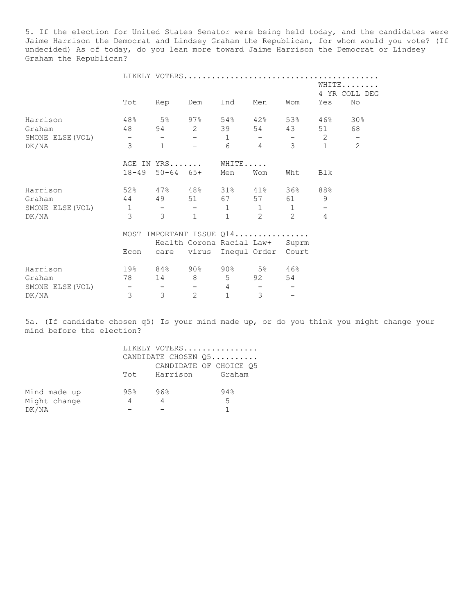5. If the election for United States Senator were being held today, and the candidates were Jaime Harrison the Democrat and Lindsey Graham the Republican, for whom would you vote? (If undecided) As of today, do you lean more toward Jaime Harrison the Democrat or Lindsey Graham the Republican?

|                  |                                                                                                                                                                                                                                                                                                                                                                                                                                                                            | LIKELY VOTERS            |                              |              |                                 |                                                   |                          |                          |
|------------------|----------------------------------------------------------------------------------------------------------------------------------------------------------------------------------------------------------------------------------------------------------------------------------------------------------------------------------------------------------------------------------------------------------------------------------------------------------------------------|--------------------------|------------------------------|--------------|---------------------------------|---------------------------------------------------|--------------------------|--------------------------|
|                  |                                                                                                                                                                                                                                                                                                                                                                                                                                                                            |                          |                              |              |                                 |                                                   |                          | WHITE<br>4 YR COLL DEG   |
|                  | Tot                                                                                                                                                                                                                                                                                                                                                                                                                                                                        | Rep                      | Dem                          | Ind          | Men                             | Wom                                               | Yes                      | No                       |
| Harrison         | $48\%$ 5% 97%                                                                                                                                                                                                                                                                                                                                                                                                                                                              |                          |                              |              | 54% 42% 53%                     |                                                   | $46\%$                   | 30%                      |
| Graham           | 48 94 2 39                                                                                                                                                                                                                                                                                                                                                                                                                                                                 |                          |                              |              |                                 | 54 43                                             | 51                       | 68                       |
| SMONE ELSE (VOL) | $\alpha_{\rm{max}}=0.0000$ and $\alpha_{\rm{max}}=0.0000$                                                                                                                                                                                                                                                                                                                                                                                                                  | $   -$                   | $\sim$ 100 $\sim$ 100 $\sim$ |              | $1 -$                           | $\frac{1}{2}$ and $\frac{1}{2}$ and $\frac{1}{2}$ | $\overline{2}$           | $\overline{\phantom{a}}$ |
| DK/NA            | $\mathcal{E}$                                                                                                                                                                                                                                                                                                                                                                                                                                                              | $\mathbf{1}$             |                              | 6            | $4\overline{ }$                 | $\mathcal{S}$                                     | $\mathbf{1}$             | $\overline{2}$           |
|                  |                                                                                                                                                                                                                                                                                                                                                                                                                                                                            | AGE IN YRS WHITE         |                              |              |                                 |                                                   |                          |                          |
|                  | $18 - 49$                                                                                                                                                                                                                                                                                                                                                                                                                                                                  |                          | $50 - 64$ $65+$              | Men          | Wom                             | Wht                                               | Blk                      |                          |
| Harrison         | 52% 47% 48% 31% 41% 36%                                                                                                                                                                                                                                                                                                                                                                                                                                                    |                          |                              |              |                                 |                                                   | 88%                      |                          |
| Graham           | 44 49 51 67 57 61                                                                                                                                                                                                                                                                                                                                                                                                                                                          |                          |                              |              |                                 |                                                   | 9                        |                          |
| SMONE ELSE (VOL) | $1 \qquad - \qquad - \qquad 1$                                                                                                                                                                                                                                                                                                                                                                                                                                             |                          |                              |              | $\mathbf{1}$                    | 1                                                 | $\overline{\phantom{m}}$ |                          |
| DK/NA            | $\mathcal{E}$                                                                                                                                                                                                                                                                                                                                                                                                                                                              | 3 <sup>7</sup>           | $\mathbf{1}$                 | 1            | 2                               | $\mathcal{L}$                                     | $\overline{4}$           |                          |
|                  |                                                                                                                                                                                                                                                                                                                                                                                                                                                                            | MOST IMPORTANT ISSUE Q14 |                              |              |                                 |                                                   |                          |                          |
|                  |                                                                                                                                                                                                                                                                                                                                                                                                                                                                            |                          |                              |              | Health Corona Racial Law+ Suprm |                                                   |                          |                          |
|                  | Econ                                                                                                                                                                                                                                                                                                                                                                                                                                                                       |                          |                              |              | care virus Inequl Order Court   |                                                   |                          |                          |
| Harrison         | 19% 84% 90% 90% 5% 46%                                                                                                                                                                                                                                                                                                                                                                                                                                                     |                          |                              |              |                                 |                                                   |                          |                          |
| Graham           |                                                                                                                                                                                                                                                                                                                                                                                                                                                                            | 78 14 8 5                |                              |              |                                 | 54                                                |                          |                          |
| SMONE ELSE (VOL) | $\frac{1}{2} \left( \frac{1}{2} \right) \left( \frac{1}{2} \right) \left( \frac{1}{2} \right) \left( \frac{1}{2} \right) \left( \frac{1}{2} \right) \left( \frac{1}{2} \right) \left( \frac{1}{2} \right) \left( \frac{1}{2} \right) \left( \frac{1}{2} \right) \left( \frac{1}{2} \right) \left( \frac{1}{2} \right) \left( \frac{1}{2} \right) \left( \frac{1}{2} \right) \left( \frac{1}{2} \right) \left( \frac{1}{2} \right) \left( \frac{1}{2} \right) \left( \frac$ |                          |                              | $-4$         | $\overline{\phantom{a}}$        |                                                   |                          |                          |
| DK/NA            | $\mathfrak{Z}$                                                                                                                                                                                                                                                                                                                                                                                                                                                             | $\mathcal{S}$            | 2                            | $\mathbf{1}$ | 3                               |                                                   |                          |                          |

5a. (If candidate chosen q5) Is your mind made up, or do you think you might change your mind before the election?

|              |     |                     | LIKELY VOTERS          |
|--------------|-----|---------------------|------------------------|
|              |     |                     | CANDIDATE CHOSEN Q5    |
|              |     |                     | CANDIDATE OF CHOICE Q5 |
|              |     | Tot Harrison Graham |                        |
| Mind made up | 95% | 96%                 | 94%                    |
| Might change | 4   |                     | -5                     |
| DK/NA        |     |                     |                        |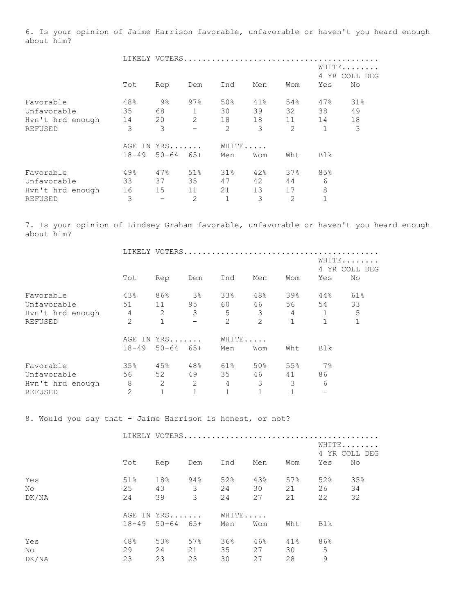6. Is your opinion of Jaime Harrison favorable, unfavorable or haven't you heard enough about him?

|                  |           | LIKELY VOTERS.   |                |                | dia dia dia dia dia dia dia dia dia d |     |              |             |
|------------------|-----------|------------------|----------------|----------------|---------------------------------------|-----|--------------|-------------|
|                  |           |                  |                |                |                                       |     |              | WHITE       |
|                  |           |                  |                |                |                                       |     | 4            | YR COLL DEG |
|                  | Tot       | Rep              | Dem            | Ind            | Men                                   | Wom | Yes          | No          |
| Favorable        | 48%       | 9%               | 97%            | 50%            | 41%                                   | 54% | 47%          | 31%         |
| Unfavorable      | 35        | 68               | $\mathbf{1}$   | 30             | 39                                    | 32  | 38           | 49          |
| Hyn't hrd enough | 14        | 20               | 2              | 18             | 18                                    | 11  | 14           | 18          |
| <b>REFUSED</b>   | 3         | 3                |                | $\overline{2}$ | 3                                     | 2   | $\mathbf{1}$ | 3           |
|                  | AGE<br>IN | YRS              |                | WHITE          |                                       |     |              |             |
|                  | $18 - 49$ | $50 - 64$ $65 +$ |                | Men            | Wom                                   | Wht | Blk          |             |
| Favorable        | 49%       | 47%              | 51%            | 31%            | 42%                                   | 37% | 85%          |             |
| Unfavorable      | 33        | 37               | 35             | 47             | 42                                    | 44  | 6            |             |
| Hyn't hrd enough | 16        | 15               | 11             | 21             | 13                                    | 17  | 8            |             |
| REFUSED          | 3         |                  | $\overline{2}$ |                | 3                                     | 2   | 1            |             |

7. Is your opinion of Lindsey Graham favorable, unfavorable or haven't you heard enough about him?

|                  |                | LIKELY VOTERS |                |       |     |             |              |                      |
|------------------|----------------|---------------|----------------|-------|-----|-------------|--------------|----------------------|
|                  |                |               |                |       |     |             | 4            | WHITE<br>YR COLL DEG |
|                  | Tot            | Rep           | Dem            | Ind   | Men | Wom         | Yes          | No                   |
| Favorable        | 43%            | 86%           | 3 <sup>°</sup> | 33%   | 48% | 39%         | 44%          | 61%                  |
| Unfavorable      | 51             | 11            | 95             | 60    | 46  | 56          | 54           | 33                   |
| Hyn't hrd enough | 4              | 2             | 3              | 5     | 3   | 4           | $\mathbf{1}$ | 5                    |
| <b>REFUSED</b>   | $\overline{2}$ | 1             |                | 2     | 2   | $\mathbf 1$ | $\mathbf 1$  | 1                    |
|                  | AGE<br>IN      | $YRS$         |                | WHITE |     |             |              |                      |
|                  | $18 - 49$      | $50 - 64$     | 65+            | Men   | Wom | Wht         | Blk          |                      |
| Favorable        | 35%            | 45%           | 48%            | 61%   | 50% | 55%         | $7\%$        |                      |
| Unfavorable      | 56             | 52            | 49             | 35    | 46  | 41          | 86           |                      |
| Hvn't hrd enough | 8              | 2             | 2              | 4     | 3   | 3           | 6            |                      |
| <b>REFUSED</b>   | 2              |               |                |       |     |             |              |                      |

8. Would you say that - Jaime Harrison is honest, or not?

|       |     |                   |                         |       |     |     |     | WHITE<br>4 YR COLL DEG |  |
|-------|-----|-------------------|-------------------------|-------|-----|-----|-----|------------------------|--|
|       | Tot | Rep               | Dem                     | Ind   | Men | Wom | Yes | No                     |  |
| Yes   | 51% | 18%               | 94%                     | 52%   | 43% | 57% | 52% | 35%                    |  |
| No    | 25  | 43                | $\overline{\mathbf{3}}$ | 24    | 30  | 21  | 26  | 34                     |  |
| DK/NA | 24  | 39                | 3                       | 24    | 27  | 21  | 22  | 32                     |  |
|       |     | AGE IN YRS        |                         | WHITE |     |     |     |                        |  |
|       |     | $18-49$ 50-64 65+ |                         | Men   | Wom | Wht | Blk |                        |  |
| Yes   | 48% | 53%               | 57%                     | 36%   | 46% | 41% | 86% |                        |  |
| No    | 29  | 24                | 21                      | 35    | 27  | 30  | 5   |                        |  |
| DK/NA | 23  | 23                | 23                      | 30    | 27  | 28  | 9   |                        |  |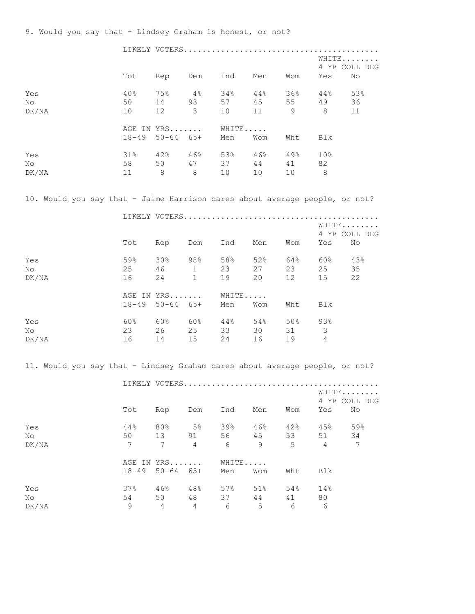9. Would you say that - Lindsey Graham is honest, or not?

|                                                                             |                                                  |                 |                         | LIKELY VOTERS           |     |         |                         |                        |
|-----------------------------------------------------------------------------|--------------------------------------------------|-----------------|-------------------------|-------------------------|-----|---------|-------------------------|------------------------|
|                                                                             |                                                  |                 |                         |                         |     |         |                         | WHITE                  |
|                                                                             |                                                  |                 |                         | Tot Rep Dem Ind Men Wom |     |         | Yes                     | 4 YR COLL DEG<br>No    |
|                                                                             |                                                  |                 |                         |                         |     |         |                         |                        |
| Yes                                                                         | 40% 75%                                          |                 |                         | $4\%$ $34\%$            |     |         | 44% 36% 44% 53%         |                        |
| No                                                                          | 50                                               | 14              | 93                      | 57                      | 45  | 55 49   |                         | 36                     |
| DK/NA                                                                       | 10                                               | 12              | $\overline{\mathbf{3}}$ | 10                      | 11  | 9       | 8 <sup>8</sup>          | 11                     |
|                                                                             |                                                  |                 |                         | AGE IN YRS WHITE        |     |         |                         |                        |
|                                                                             |                                                  |                 |                         | 18-49 50-64 65+ Men     | Wom | Wht     | Blk                     |                        |
| Yes                                                                         | $31\%$ $42\%$ $46\%$ $53\%$ $46\%$ $49\%$ $10\%$ |                 |                         |                         |     |         |                         |                        |
| No                                                                          |                                                  |                 |                         | 58 50 47 37 44 41 82    |     |         |                         |                        |
| DK/NA                                                                       |                                                  |                 |                         | 11 8 8 10 10            |     | 10 8    |                         |                        |
|                                                                             |                                                  |                 |                         |                         |     |         |                         |                        |
| 10. Would you say that - Jaime Harrison cares about average people, or not? |                                                  |                 |                         |                         |     |         |                         |                        |
|                                                                             |                                                  |                 |                         |                         |     |         |                         |                        |
|                                                                             |                                                  |                 |                         |                         |     |         |                         | WHITE<br>4 YR COLL DEG |
|                                                                             |                                                  |                 |                         | Tot Rep Dem Ind Men Wom |     |         | Yes                     | No                     |
| Yes                                                                         | 59%                                              |                 |                         | 30% 98% 58%             |     | 52% 64% | 60% 43%                 |                        |
| No                                                                          | 25                                               | 46              | $\overline{1}$          | 23                      | 27  | 23      | 25                      | 35                     |
| DK/NA                                                                       | 16                                               | 24              | 1                       | 19                      | 20  | 12      | 15                      | 22                     |
|                                                                             |                                                  |                 |                         | AGE IN YRS WHITE        |     |         |                         |                        |
|                                                                             |                                                  |                 |                         | 18-49 50-64 65+ Men     | Wom | Wht     | Blk                     |                        |
|                                                                             |                                                  |                 |                         |                         |     |         |                         |                        |
| Yes                                                                         | $60\%$ $60\%$ $60\%$ $44\%$ $54\%$ $50\%$ $93\%$ |                 |                         |                         |     |         |                         |                        |
| No                                                                          |                                                  |                 |                         | 23 26 25 33             |     | 30 31   | $\overline{\mathbf{3}}$ |                        |
| DK/NA                                                                       |                                                  |                 |                         | 16 14 15 24             | 16  | 19 4    |                         |                        |
| 11. Would you say that - Lindsey Graham cares about average people, or not? |                                                  |                 |                         |                         |     |         |                         |                        |
|                                                                             |                                                  |                 |                         |                         |     |         |                         |                        |
|                                                                             |                                                  |                 |                         |                         |     |         |                         | WHITE                  |
|                                                                             |                                                  |                 |                         |                         |     |         |                         | 4 YR COLL DEG          |
|                                                                             | Tot                                              | Rep             | Dem                     | Ind                     | Men | Wom     | Yes                     | No                     |
| Yes                                                                         | 44%                                              | 80%             | $5\%$                   | 39%                     | 46% | 42%     | 45%                     | 59%                    |
| No                                                                          | 50                                               | 13              | 91                      | 56                      | 45  | 53      | 51                      | 34                     |
| DK/NA                                                                       | 7                                                | $7\phantom{.0}$ | $\overline{4}$          | 6                       | 9   | 5       | 4                       | 7                      |
|                                                                             |                                                  | AGE IN YRS      |                         | WHITE                   |     |         |                         |                        |
|                                                                             | $18 - 49$                                        | $50 - 64$       | 65+                     | Men                     | Wom | Wht     | Blk                     |                        |
|                                                                             |                                                  |                 |                         |                         |     |         |                         |                        |
| Yes                                                                         | 37%                                              | 46%             | 48%                     | 57%                     | 51% | 54%     | 14%                     |                        |
| No                                                                          | 54                                               | 50              | 48                      | 37                      | 44  | 41      | 80                      |                        |
| DK/NA                                                                       | 9                                                | $\overline{4}$  | 4                       | 6                       | 5   | 6       | 6                       |                        |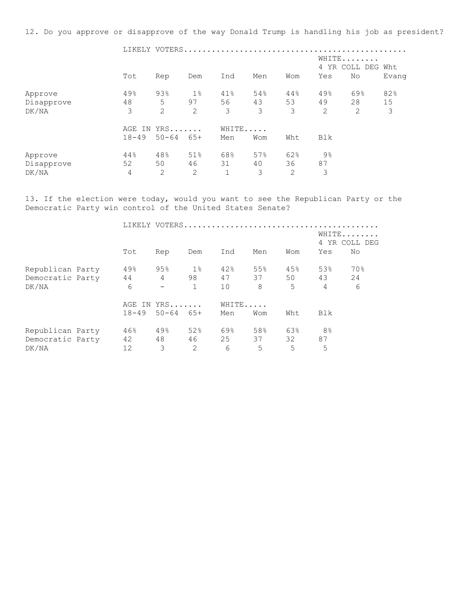12. Do you approve or disapprove of the way Donald Trump is handling his job as president?

|                                |                |                     |                | LIKELY VOTERS            |                |                |               |                   |         |
|--------------------------------|----------------|---------------------|----------------|--------------------------|----------------|----------------|---------------|-------------------|---------|
|                                |                |                     |                |                          |                |                | WHITE         | 4 YR COLL DEG Wht |         |
|                                | Tot            | Rep                 | Dem            | Ind                      | Men            | Wom            | Yes           | No                | Evang   |
| Approve                        | 49%            | 93%                 | $1\%$          | 41%                      | 54%            | 44%            | 49%           | 69%               | 82%     |
| Disapprove<br>DK/NA            | 48<br>3        | 5<br>$\overline{2}$ | 97<br>2        | 56<br>3                  | 43<br>3        | 53<br>3        | 49<br>2       | 28<br>2           | 15<br>3 |
|                                | AGE IN         | YRS                 |                | WHITE                    |                |                |               |                   |         |
|                                | $18 - 49$      | $50 - 64$           | 65+            | Men                      | Wom            | Wht            | Blk           |                   |         |
| Approve<br>Disapprove<br>DK/NA | 44%<br>52<br>4 | 48%<br>50<br>2      | 51%<br>46<br>2 | 68%<br>31<br>$\mathbf 1$ | 57%<br>40<br>3 | 62%<br>36<br>2 | 9%<br>87<br>3 |                   |         |

13. If the election were today, would you want to see the Republican Party or the Democratic Party win control of the United States Senate?

|                  |           |                          |              |       |     | LIKELY VOTERS |                |                        |
|------------------|-----------|--------------------------|--------------|-------|-----|---------------|----------------|------------------------|
|                  |           |                          |              |       |     |               |                | WHITE<br>4 YR COLL DEG |
|                  | Tot       | Rep                      | Dem          | Ind   | Men | Wom           | Yes            | No.                    |
| Republican Party | 49%       | 95%                      | $1\%$        | 42%   | 55% | 45%           | 53%            | 70%                    |
| Democratic Party | 44        | $\overline{4}$           | 98           | 47    | 37  | 50            | 43             | 24                     |
| DK/NA            | 6         | $\overline{\phantom{0}}$ | $\mathbf{1}$ | 10    | 8   | 5             | $\overline{4}$ | 6                      |
|                  |           | AGE IN YRS               |              | WHITE |     |               |                |                        |
|                  | $18 - 49$ | $50 - 64$                | 65+          | Men   | Wom | Wht           | Blk            |                        |
| Republican Party | 46%       | 49%                      | 52%          | 69%   | 58% | 63%           | 8 <sup>°</sup> |                        |
| Democratic Party | 42        | 48                       | 46           | 25    | 37  | 32            | 87             |                        |
| DK/NA            | 12        | 3                        | 2            | 6     | 5   | 5             | 5              |                        |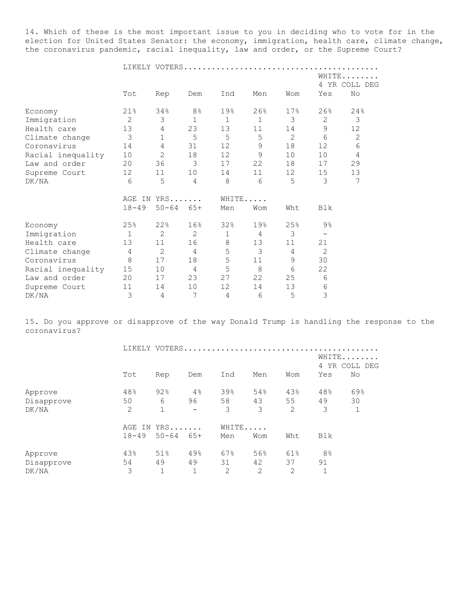14. Which of these is the most important issue to you in deciding who to vote for in the election for United States Senator: the economy, immigration, health care, climate change, the coronavirus pandemic, racial inequality, law and order, or the Supreme Court?

|                   |                |                |                |              |              |     |                          | WHITE          |
|-------------------|----------------|----------------|----------------|--------------|--------------|-----|--------------------------|----------------|
|                   |                |                |                |              |              |     | 4                        | YR COLL DEG    |
|                   | Tot            | Rep            | Dem            | Ind          | Men          | Wom | Yes                      | No             |
| Economy           | 21%            | 34%            | 8 <sup>°</sup> | 19%          | 26%          | 17% | 26%                      | 24%            |
| Immigration       | $\overline{2}$ | $\mathfrak{Z}$ | 1              | $\mathbf{1}$ | $\mathbf{1}$ | 3   | $\overline{c}$           | 3              |
| Health care       | 13             | 4              | 23             | 13           | 11           | 14  | 9                        | 12             |
| Climate change    | $\mathcal{E}$  | $\mathbf{1}$   | 5              | 5            | 5            | 2   | 6                        | $\mathbf{2}$   |
| Coronavirus       | 14             | $\overline{4}$ | 31             | 12           | $\mathsf 9$  | 18  | 12                       | 6              |
| Racial inequality | 10             | $\overline{2}$ | 18             | 12           | 9            | 10  | 10                       | $\overline{4}$ |
| Law and order     | 20             | 36             | 3              | 17           | 22           | 18  | 17                       | 29             |
| Supreme Court     | 12             | 11             | 10             | 14           | 11           | 12  | 15                       | 13             |
| DK/NA             | 6              | 5              | $\overline{4}$ | 8            | 6            | 5   | 3                        | 7              |
|                   |                | AGE IN YRS     |                |              | WHITE        |     |                          |                |
|                   | $18 - 49$      | $50 - 64$      | 65+            | Men          | Wom          | Wht | Blk                      |                |
| Economy           | 25%            | 22%            | 16%            | 32%          | 19%          | 25% | $9\frac{6}{6}$           |                |
| Immigration       | $\mathbf{1}$   | $\overline{2}$ | $\overline{2}$ | $\mathbf{1}$ | 4            | 3   | $\overline{\phantom{m}}$ |                |
| Health care       | 13             | 11             | 16             | 8            | 13           | 11  | 21                       |                |
| Climate change    | 4              | 2              | $\overline{4}$ | 5            | 3            | 4   | 2                        |                |
| Coronavirus       | $\,8\,$        | 17             | 18             | 5            | 11           | 9   | 30                       |                |
| Racial inequality | 15             | 10             | $\overline{4}$ | 5            | 8            | 6   | 22                       |                |
| Law and order     | 20             | 17             | 23             | 27           | 22           | 25  | 6                        |                |
| Supreme Court     | 11             | 14             | 10             | 12           | 14           | 13  | 6                        |                |
| DK/NA             | 3              | 4              | 7              | 4            | 6            | 5   | 3                        |                |

15. Do you approve or disapprove of the way Donald Trump is handling the response to the coronavirus?

|            |     |                   |              |       |     |                | 4              | WHITE<br>YR COLL DEG |
|------------|-----|-------------------|--------------|-------|-----|----------------|----------------|----------------------|
|            | Tot | Rep               | Dem          | Ind   | Men | Wom            | Yes            | No                   |
| Approve    | 48% | 92%               | 4%           | 39%   | 54% | 43%            | 48%            | 69%                  |
| Disapprove | 50  | 6                 | 96           | 58    | 43  | 55             | 49             | 30                   |
| DK/NA      | 2   | $\mathbf{1}$      |              | 3     | 3   | 2              | 3              | $1\,$                |
|            |     | AGE IN YRS        |              | WHITE |     |                |                |                      |
|            |     | $18-49$ 50-64 65+ |              | Men   | Wom | Wht            | Blk            |                      |
| Approve    | 43% | 51%               | 49%          | 67%   | 56% | 61%            | 8 <sup>°</sup> |                      |
| Disapprove | 54  | 49                | 49           | 31    | 42  | 37             | 91             |                      |
| DK/NA      | 3   | $\mathbf{1}$      | $\mathbf{1}$ | 2     | 2   | $\overline{2}$ | 1              |                      |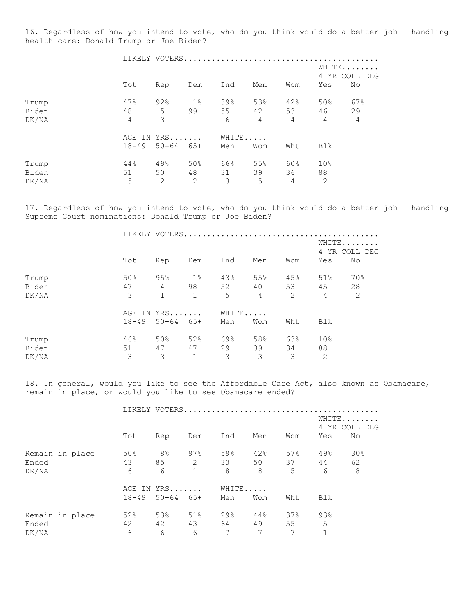16. Regardless of how you intend to vote, who do you think would do a better job - handling health care: Donald Trump or Joe Biden?

|       |                |                   |            |     | LIKELY VOTERS  |                |                 |                        |
|-------|----------------|-------------------|------------|-----|----------------|----------------|-----------------|------------------------|
|       |                |                   |            |     |                |                |                 | WHITE<br>4 YR COLL DEG |
|       | Tot            | Rep               | Dem        | Ind | Men            | Wom            | Yes             | No                     |
| Trump | 47%            | 92%               | $1\%$      | 39% | 53%            | 42%            | 50%             | 67%                    |
| Biden | 48             | 5                 | 99         | 55  | 42             | 53             | 46              | 29                     |
| DK/NA | $\overline{4}$ | 3                 | $\sim$ $-$ | 6   | $\overline{4}$ | $\overline{4}$ | $\overline{4}$  | $\overline{4}$         |
|       |                | AGE IN YRS        |            |     | WHITE          |                |                 |                        |
|       |                | $18-49$ 50-64 65+ |            | Men | Wom            | Wht            | Blk             |                        |
| Trump | 44%            | 49%               | 50%        | 66% | 55%            | 60%            | 10 <sup>°</sup> |                        |
| Biden | 51             | 50                | 48         | 31  | 39             | 36             | 88              |                        |
| DK/NA | 5              | 2                 | 2          | 3   | 5              | 4              | $\overline{2}$  |                        |

17. Regardless of how you intend to vote, who do you think would do a better job - handling Supreme Court nominations: Donald Trump or Joe Biden?

|       |     |                   |              |       |                 |                |                 | WHITE<br>4 YR COLL DEG |
|-------|-----|-------------------|--------------|-------|-----------------|----------------|-----------------|------------------------|
|       | Tot | Rep               | Dem          | Ind   | Men             | Wom            | Yes             | No                     |
| Trump | 50% | 95%               | 1%           | 43%   | 55%             | $45\%$         | 51%             | 70%                    |
| Biden | 47  | $4\overline{ }$   | 98           | 52    |                 | 40 53          | 45              | 28                     |
| DK/NA | 3   | $\mathbf{1}$      | 1            | 5     | $4\overline{ }$ | $\overline{2}$ | $\overline{4}$  | 2                      |
|       |     | AGE IN YRS        |              | WHITE |                 |                |                 |                        |
|       |     | $18-49$ 50-64 65+ |              | Men   | Wom             | Wht            | Blk             |                        |
| Trump | 46% | 50%               | 52%          | 69%   | 58%             | 63%            | 10 <sup>°</sup> |                        |
| Biden | 51  | 47                | 47           | 29    | 39              | 34             | 88              |                        |
| DK/NA | 3   | 3                 | $\mathbf{1}$ | 3     | 3               | 3              | 2               |                        |

18. In general, would you like to see the Affordable Care Act, also known as Obamacare, remain in place, or would you like to see Obamacare ended?

|                 |  |           |                  |             |       |     |                 | WHITE | 4 YR COLL DEG |
|-----------------|--|-----------|------------------|-------------|-------|-----|-----------------|-------|---------------|
|                 |  | Tot       | Rep              | Dem         | Ind   | Men | Wom             | Yes   | No            |
| Remain in place |  | 50%       | $8\,$ $\,$       | $97\%$      | 59%   | 42% | 57%             | 49%   | 30%           |
| Ended           |  | 43        | 85               |             | 2 33  | 50  | 37              | 44    | 62            |
| DK/NA           |  | 6         | 6                | $\mathbf 1$ | 8     | 8   | $5\overline{)}$ | 6     | 8             |
|                 |  |           | AGE IN YRS       |             | WHITE |     |                 |       |               |
|                 |  | $18 - 49$ | $50 - 64$ $65 +$ |             | Men   | Wom | Wht             | Blk   |               |
| Remain in place |  | 52%       | 53%              | 51%         | 29%   | 44% | 37%             | 93%   |               |
| Ended           |  | 42        | 42               | 43          | 64    | 49  | 55              | 5     |               |
| DK/NA           |  | 6         | 6                | 6           | 7     | 7   | 7               |       |               |